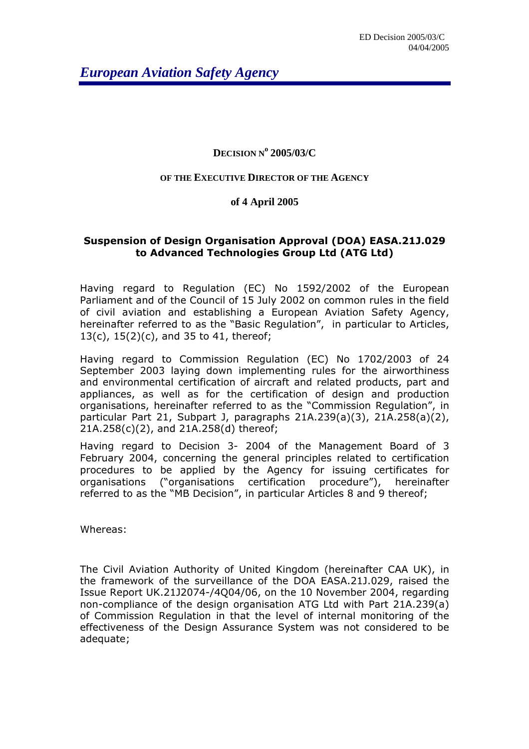*European Aviation Safety Agency* 

## **DECISION N<sup>o</sup> 2005/03/C**

## **OF THE EXECUTIVE DIRECTOR OF THE AGENCY**

## **of 4 April 2005**

## Suspension of Design Organisation Approval (DOA) EASA.21J.029 to Advanced Technologies Group Ltd (ATG Ltd)

Having regard to Regulation (EC) No 1592/2002 of the European Parliament and of the Council of 15 July 2002 on common rules in the field of civil aviation and establishing a European Aviation Safety Agency, hereinafter referred to as the "Basic Regulation", in particular to Articles, 13(c), 15(2)(c), and 35 to 41, thereof;

Having regard to Commission Regulation (EC) No 1702/2003 of 24 September 2003 laying down implementing rules for the airworthiness and environmental certification of aircraft and related products, part and appliances, as well as for the certification of design and production organisations, hereinafter referred to as the "Commission Regulation", in particular Part 21, Subpart J, paragraphs 21A.239(a)(3), 21A.258(a)(2), 21A.258(c)(2), and 21A.258(d) thereof;

Having regard to Decision 3- 2004 of the Management Board of 3 February 2004, concerning the general principles related to certification procedures to be applied by the Agency for issuing certificates for organisations ("organisations certification procedure"), hereinafter referred to as the "MB Decision", in particular Articles 8 and 9 thereof;

Whereas:

The Civil Aviation Authority of United Kingdom (hereinafter CAA UK), in the framework of the surveillance of the DOA EASA.21J.029, raised the Issue Report UK.21J2074-/4Q04/06, on the 10 November 2004, regarding non-compliance of the design organisation ATG Ltd with Part 21A.239(a) of Commission Regulation in that the level of internal monitoring of the effectiveness of the Design Assurance System was not considered to be adequate;